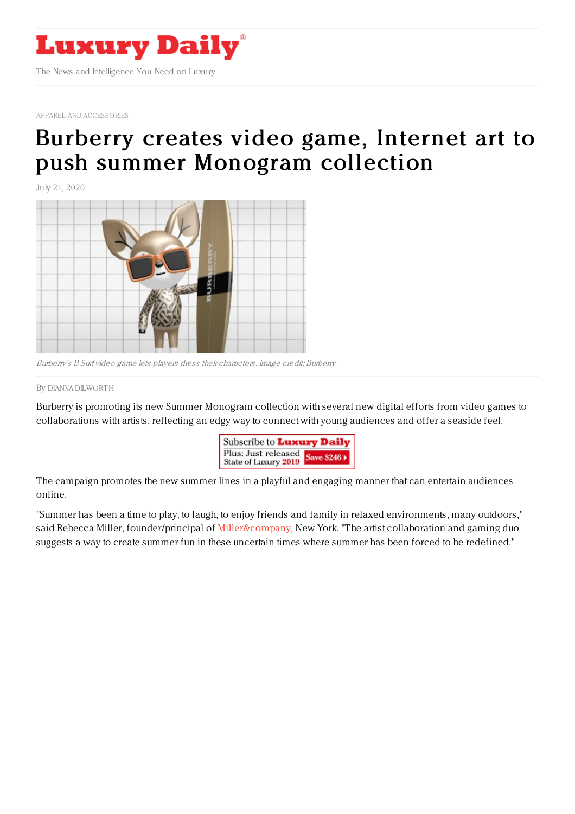

APPAREL AND [ACCESSORIES](https://www.luxurydaily.com/category/sectors/apparel-and-accessories/)

## Burberry creates video game, Internet art to push summer [Monogram](https://www.luxurydaily.com/?p=309521) collection

July 21, 2020



Burberry's B Surf video game lets players dress their characters. Image credit: Burberry

By DIANNA [DILWORT](file:///author/dianna-dilworth) H

Burberry is promoting its new Summer Monogram collection with several new digital efforts from video games to collaborations with artists, reflecting an edgy way to connect with young audiences and offer a seaside feel.



The campaign promotes the new summer lines in a playful and engaging manner that can entertain audiences online.

"Summer has been a time to play, to laugh, to enjoy friends and family in relaxed environments, many outdoors," said Rebecca Miller, founder/principal of [Miller&company](http://www.millerandcom.com), New York. "The artist collaboration and gaming duo suggests a way to create summer fun in these uncertain times where summer has been forced to be redefined."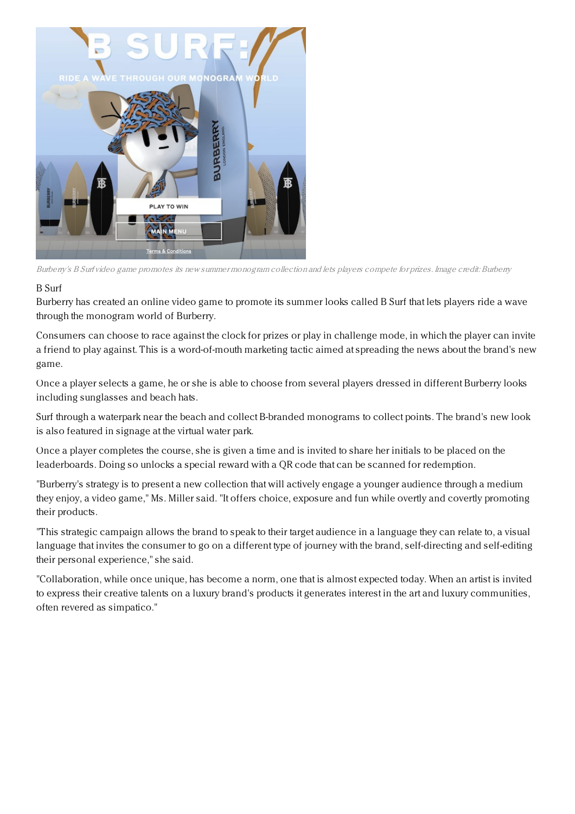

Burberry's B Surf video game promotes its new summer monogram collection and lets players compete for prizes. Image credit: Burberry

## B Surf

Burberry has created an online video game to promote its summer looks called B Surf that lets players ride a wave through the monogram world of Burberry.

Consumers can choose to race against the clock for prizes or play in challenge mode, in which the player can invite a friend to play against. This is a word-of-mouth marketing tactic aimed at spreading the news about the brand's new game.

Once a player selects a game, he or she is able to choose from several players dressed in different Burberry looks including sunglasses and beach hats.

Surf through a waterpark near the beach and collect B-branded monograms to collect points. The brand's new look is also featured in signage at the virtual water park.

Once a player completes the course, she is given a time and is invited to share her initials to be placed on the leaderboards. Doing so unlocks a special reward with a QR code that can be scanned for redemption.

"Burberry's strategy is to present a new collection that will actively engage a younger audience through a medium they enjoy, a video game," Ms. Miller said. "It offers choice, exposure and fun while overtly and covertly promoting their products.

"This strategic campaign allows the brand to speak to their target audience in a language they can relate to, a visual language that invites the consumer to go on a different type of journey with the brand, self-directing and self-editing their personal experience," she said.

"Collaboration, while once unique, has become a norm, one that is almost expected today. When an artist is invited to express their creative talents on a luxury brand's products it generates interest in the art and luxury communities, often revered as simpatico."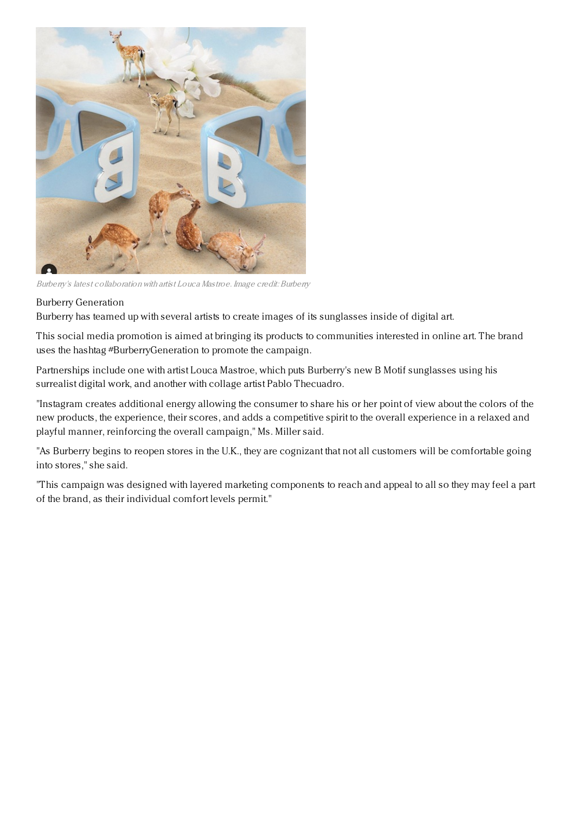

Burberry's latest collaboration with artist Louca Mastroe. Image credit: Burberry

## Burberry Generation

Burberry has teamed up with several artists to create images of its sunglasses inside of digital art.

This social media promotion is aimed at bringing its products to communities interested in online art. The brand uses the hashtag #BurberryGeneration to promote the campaign.

Partnerships include one with artist Louca Mastroe, which puts Burberry's new B Motif sunglasses using his surrealist digital work, and another with collage artist Pablo Thecuadro.

"Instagram creates additional energy allowing the consumer to share his or her point of view about the colors of the new products, the experience, their scores, and adds a competitive spirit to the overall experience in a relaxed and playful manner, reinforcing the overall campaign," Ms. Miller said.

"As Burberry begins to reopen stores in the U.K., they are cognizant that not all customers will be comfortable going into stores," she said.

"This campaign was designed with layered marketing components to reach and appeal to all so they may feel a part of the brand, as their individual comfort levels permit."